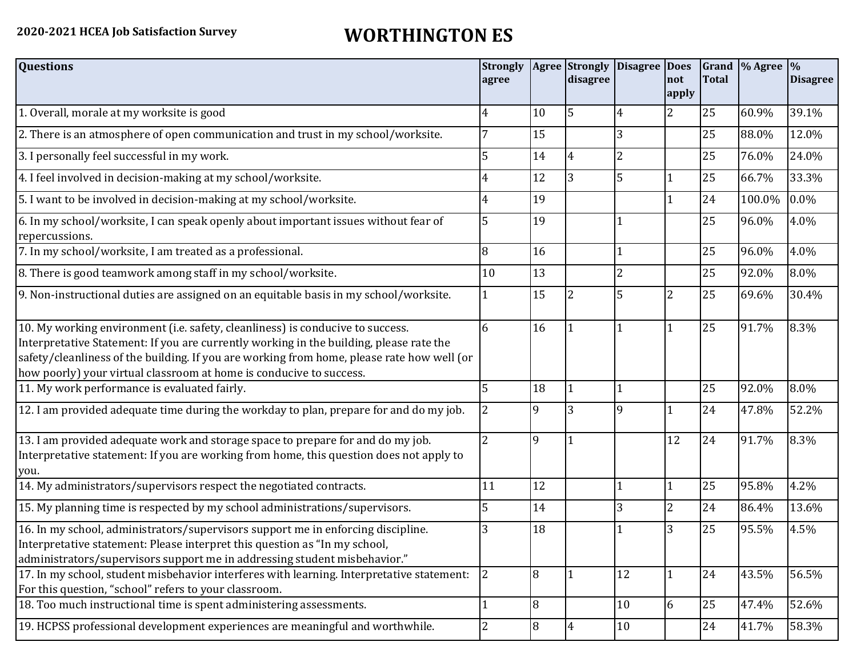## **2020-2021 HCEA Job Satisfaction Survey WORTHINGTON ES**

| <b>Questions</b>                                                                                                                                                                                                                                                                                                                               | <b>Strongly</b><br>agree |        | <b>Agree</b> Strongly<br>disagree | Disagree Does  | not<br>apply   | <b>Total</b> | Grand % Agree % | <b>Disagree</b> |
|------------------------------------------------------------------------------------------------------------------------------------------------------------------------------------------------------------------------------------------------------------------------------------------------------------------------------------------------|--------------------------|--------|-----------------------------------|----------------|----------------|--------------|-----------------|-----------------|
| 1. Overall, morale at my worksite is good                                                                                                                                                                                                                                                                                                      | 4                        | 10     | 5                                 | 4              | $\overline{2}$ | 25           | 60.9%           | 39.1%           |
| 2. There is an atmosphere of open communication and trust in my school/worksite.                                                                                                                                                                                                                                                               |                          | 15     |                                   | 3              |                | 25           | 88.0%           | 12.0%           |
| 3. I personally feel successful in my work.                                                                                                                                                                                                                                                                                                    | 5                        | 14     |                                   | 2              |                | 25           | 76.0%           | 24.0%           |
| 4. I feel involved in decision-making at my school/worksite.                                                                                                                                                                                                                                                                                   | 4                        | 12     | 3                                 | 5              |                | 25           | 66.7%           | 33.3%           |
| 5. I want to be involved in decision-making at my school/worksite.                                                                                                                                                                                                                                                                             | 4                        | 19     |                                   |                |                | 24           | 100.0%          | $0.0\%$         |
| 6. In my school/worksite, I can speak openly about important issues without fear of<br>repercussions.                                                                                                                                                                                                                                          | 5                        | 19     |                                   |                |                | 25           | 96.0%           | 4.0%            |
| 7. In my school/worksite, I am treated as a professional.                                                                                                                                                                                                                                                                                      | 8                        | 16     |                                   |                |                | 25           | 96.0%           | 4.0%            |
| 8. There is good teamwork among staff in my school/worksite.                                                                                                                                                                                                                                                                                   | 10                       | 13     |                                   | $\overline{2}$ |                | 25           | 92.0%           | 8.0%            |
| 9. Non-instructional duties are assigned on an equitable basis in my school/worksite.                                                                                                                                                                                                                                                          |                          | 15     |                                   | 5              | $\overline{2}$ | 25           | 69.6%           | 30.4%           |
| 10. My working environment (i.e. safety, cleanliness) is conducive to success.<br>Interpretative Statement: If you are currently working in the building, please rate the<br>safety/cleanliness of the building. If you are working from home, please rate how well (or<br>how poorly) your virtual classroom at home is conducive to success. | 6                        | 16     |                                   |                |                | 25           | 91.7%           | 8.3%            |
| 11. My work performance is evaluated fairly.                                                                                                                                                                                                                                                                                                   | 5                        | 18     |                                   |                |                | 25           | 92.0%           | 8.0%            |
| 12. I am provided adequate time during the workday to plan, prepare for and do my job.                                                                                                                                                                                                                                                         |                          | 9      | 3                                 | <b>9</b>       |                | 24           | 47.8%           | 52.2%           |
| 13. I am provided adequate work and storage space to prepare for and do my job.<br>Interpretative statement: If you are working from home, this question does not apply to<br>you.                                                                                                                                                             | $\overline{2}$           | 9      |                                   |                | 12             | 24           | 91.7%           | 8.3%            |
| 14. My administrators/supervisors respect the negotiated contracts.                                                                                                                                                                                                                                                                            | 11                       | 12     |                                   |                | $\mathbf{1}$   | 25           | 95.8%           | 4.2%            |
| 15. My planning time is respected by my school administrations/supervisors.                                                                                                                                                                                                                                                                    |                          | 14     |                                   | $\overline{3}$ | 2              | 24           | 86.4%           | 13.6%           |
| 16. In my school, administrators/supervisors support me in enforcing discipline.<br>Interpretative statement: Please interpret this question as "In my school,<br>administrators/supervisors support me in addressing student misbehavior."                                                                                                    | 3                        | 18     |                                   |                | 3              | 25           | 95.5%           | 4.5%            |
| 17. In my school, student misbehavior interferes with learning. Interpretative statement:<br>For this question, "school" refers to your classroom.                                                                                                                                                                                             | 2                        | 8      |                                   | 12             | $\mathbf{1}$   | 24           | 43.5%           | 56.5%           |
| 18. Too much instructional time is spent administering assessments.                                                                                                                                                                                                                                                                            |                          | 8      |                                   | 10             | 6              | 25           | 47.4%           | 52.6%           |
| 19. HCPSS professional development experiences are meaningful and worthwhile.                                                                                                                                                                                                                                                                  | 2                        | $\, 8$ | 4                                 | 10             |                | 24           | 41.7%           | 58.3%           |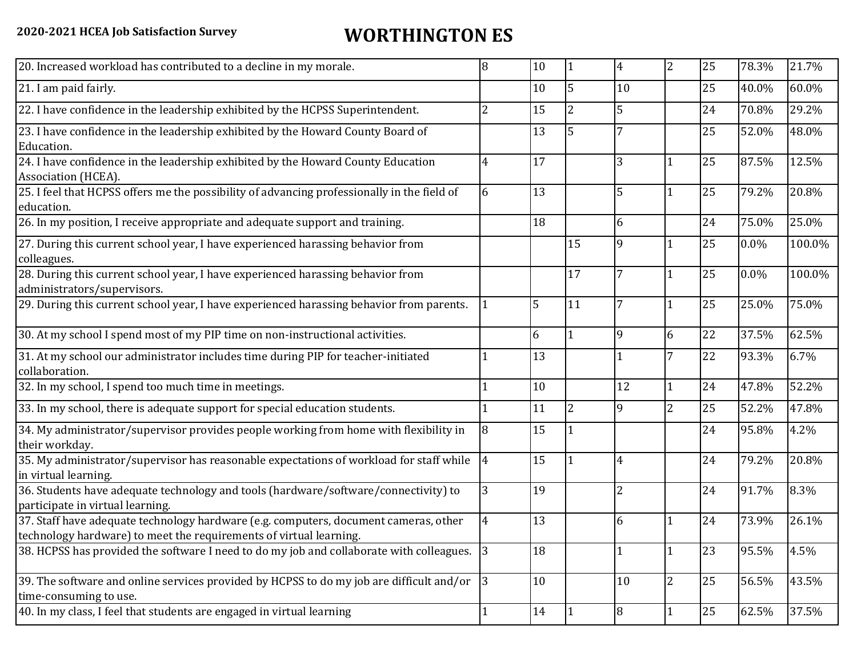## **2020-2021 HCEA Job Satisfaction Survey WORTHINGTON ES**

| 20. Increased workload has contributed to a decline in my morale.                                                                                          | 8              | 10 |                          | $\overline{4}$ | $\overline{2}$ | 25 | 78.3% | 21.7%  |
|------------------------------------------------------------------------------------------------------------------------------------------------------------|----------------|----|--------------------------|----------------|----------------|----|-------|--------|
| 21. I am paid fairly.                                                                                                                                      |                | 10 | 5                        | 10             |                | 25 | 40.0% | 60.0%  |
| 22. I have confidence in the leadership exhibited by the HCPSS Superintendent.                                                                             | 2              | 15 | $\overline{\mathcal{L}}$ | 5              |                | 24 | 70.8% | 29.2%  |
| 23. I have confidence in the leadership exhibited by the Howard County Board of<br>Education.                                                              |                | 13 | 5                        |                |                | 25 | 52.0% | 48.0%  |
| 24. I have confidence in the leadership exhibited by the Howard County Education<br>Association (HCEA).                                                    | 4              | 17 |                          | 3              | $^{\prime}1$   | 25 | 87.5% | 12.5%  |
| 25. I feel that HCPSS offers me the possibility of advancing professionally in the field of<br>education.                                                  | 6              | 13 |                          | 5              |                | 25 | 79.2% | 20.8%  |
| 26. In my position, I receive appropriate and adequate support and training.                                                                               |                | 18 |                          | 6              |                | 24 | 75.0% | 25.0%  |
| 27. During this current school year, I have experienced harassing behavior from<br>colleagues.                                                             |                |    | 15                       | 9              |                | 25 | 0.0%  | 100.0% |
| 28. During this current school year, I have experienced harassing behavior from<br>administrators/supervisors.                                             |                |    | 17                       | 7              |                | 25 | 0.0%  | 100.0% |
| 29. During this current school year, I have experienced harassing behavior from parents.                                                                   |                | 5  | 11                       |                | $\mathbf 1$    | 25 | 25.0% | 75.0%  |
| 30. At my school I spend most of my PIP time on non-instructional activities.                                                                              |                | 6  |                          | 9              | 6              | 22 | 37.5% | 62.5%  |
| 31. At my school our administrator includes time during PIP for teacher-initiated<br>collaboration.                                                        |                | 13 |                          |                | 7              | 22 | 93.3% | 6.7%   |
| 32. In my school, I spend too much time in meetings.                                                                                                       |                | 10 |                          | 12             | $\mathbf{1}$   | 24 | 47.8% | 52.2%  |
| 33. In my school, there is adequate support for special education students.                                                                                |                | 11 | $\overline{2}$           | 9              | $\overline{2}$ | 25 | 52.2% | 47.8%  |
| 34. My administrator/supervisor provides people working from home with flexibility in<br>their workday.                                                    | 8              | 15 |                          |                |                | 24 | 95.8% | 4.2%   |
| 35. My administrator/supervisor has reasonable expectations of workload for staff while<br>in virtual learning.                                            | 4              | 15 |                          | 4              |                | 24 | 79.2% | 20.8%  |
| 36. Students have adequate technology and tools (hardware/software/connectivity) to<br>participate in virtual learning.                                    | 3              | 19 |                          | $\overline{2}$ |                | 24 | 91.7% | 8.3%   |
| 37. Staff have adequate technology hardware (e.g. computers, document cameras, other<br>technology hardware) to meet the requirements of virtual learning. | $\overline{4}$ | 13 |                          | 6              | 1              | 24 | 73.9% | 26.1%  |
| 38. HCPSS has provided the software I need to do my job and collaborate with colleagues.                                                                   | $ 3\rangle$    | 18 |                          | 1              | $\vert$ 1      | 23 | 95.5% | 4.5%   |
| 39. The software and online services provided by HCPSS to do my job are difficult and/or<br>time-consuming to use.                                         | 3              | 10 |                          | 10             | $\mathbf{2}$   | 25 | 56.5% | 43.5%  |
| 40. In my class, I feel that students are engaged in virtual learning                                                                                      |                | 14 |                          | 8              | 1              | 25 | 62.5% | 37.5%  |
|                                                                                                                                                            |                |    |                          |                |                |    |       |        |